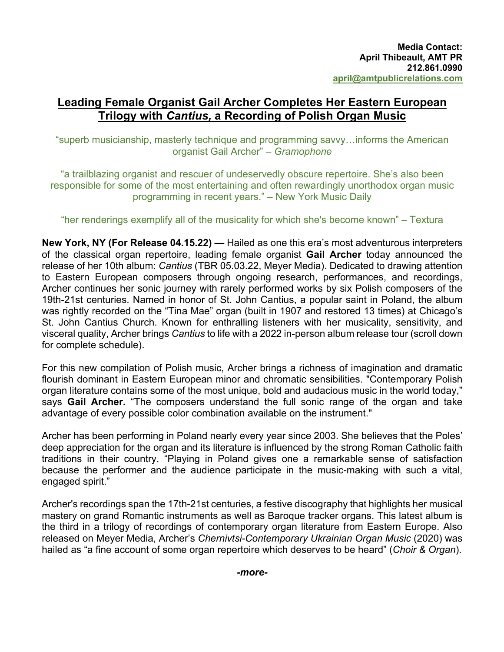# **Leading Female Organist Gail Archer Completes Her Eastern European Trilogy with** *Cantius,* **a Recording of Polish Organ Music**

"superb musicianship, masterly technique and programming savvy…informs the American organist Gail Archer" – *Gramophone*

"a trailblazing organist and rescuer of undeservedly obscure repertoire. She's also been responsible for some of the most entertaining and often rewardingly unorthodox organ music programming in recent years." – New York Music Daily

### "her renderings exemplify all of the musicality for which she's become known" – Textura

**New York, NY (For Release 04.15.22) —** Hailed as one this era's most adventurous interpreters of the classical organ repertoire, leading female organist **Gail Archer** today announced the release of her 10th album: *Cantius* (TBR 05.03.22, Meyer Media). Dedicated to drawing attention to Eastern European composers through ongoing research, performances, and recordings, Archer continues her sonic journey with rarely performed works by six Polish composers of the 19th-21st centuries. Named in honor of St. John Cantius, a popular saint in Poland, the album was rightly recorded on the "Tina Mae" organ (built in 1907 and restored 13 times) at Chicago's St. John Cantius Church. Known for enthralling listeners with her musicality, sensitivity, and visceral quality, Archer brings *Cantius* to life with a 2022 in-person album release tour (scroll down for complete schedule).

For this new compilation of Polish music, Archer brings a richness of imagination and dramatic flourish dominant in Eastern European minor and chromatic sensibilities. "Contemporary Polish organ literature contains some of the most unique, bold and audacious music in the world today," says **Gail Archer.** "The composers understand the full sonic range of the organ and take advantage of every possible color combination available on the instrument."

Archer has been performing in Poland nearly every year since 2003. She believes that the Poles' deep appreciation for the organ and its literature is influenced by the strong Roman Catholic faith traditions in their country. "Playing in Poland gives one a remarkable sense of satisfaction because the performer and the audience participate in the music-making with such a vital, engaged spirit."

Archer's recordings span the 17th-21st centuries, a festive discography that highlights her musical mastery on grand Romantic instruments as well as Baroque tracker organs. This latest album is the third in a trilogy of recordings of contemporary organ literature from Eastern Europe. Also released on Meyer Media, Archer's *Chernivtsi-Contemporary Ukrainian Organ Music* (2020) was hailed as "a fine account of some organ repertoire which deserves to be heard" (*Choir & Organ*).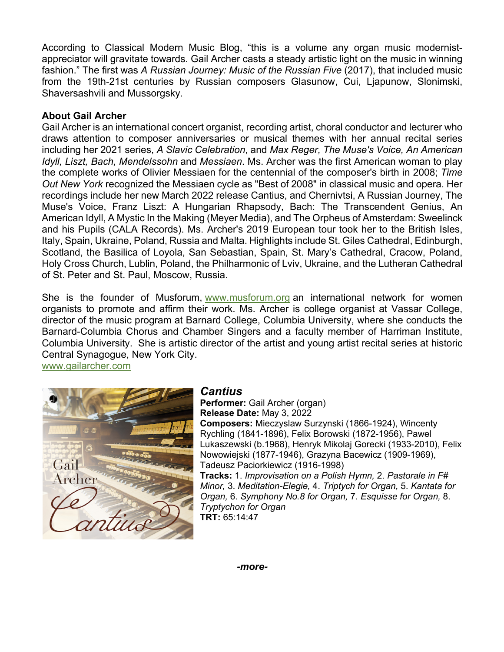According to Classical Modern Music Blog, "this is a volume any organ music modernistappreciator will gravitate towards. Gail Archer casts a steady artistic light on the music in winning fashion." The first was *A Russian Journey: Music of the Russian Five* (2017), that included music from the 19th-21st centuries by Russian composers Glasunow, Cui, Ljapunow, Slonimski, Shaversashvili and Mussorgsky.

## **About Gail Archer**

Gail Archer is an international concert organist, recording artist, choral conductor and lecturer who draws attention to composer anniversaries or musical themes with her annual recital series including her 2021 series, *A Slavic Celebration*, and *Max Reger, The Muse's Voice, An American Idyll, Liszt, Bach, Mendelssohn* and *Messiaen*. Ms. Archer was the first American woman to play the complete works of Olivier Messiaen for the centennial of the composer's birth in 2008; *Time Out New York* recognized the Messiaen cycle as "Best of 2008" in classical music and opera. Her recordings include her new March 2022 release Cantius, and Chernivtsi, A Russian Journey, The Muse's Voice, Franz Liszt: A Hungarian Rhapsody, Bach: The Transcendent Genius, An American Idyll, A Mystic In the Making (Meyer Media), and The Orpheus of Amsterdam: Sweelinck and his Pupils (CALA Records). Ms. Archer's 2019 European tour took her to the British Isles, Italy, Spain, Ukraine, Poland, Russia and Malta. Highlights include St. Giles Cathedral, Edinburgh, Scotland, the Basilica of Loyola, San Sebastian, Spain, St. Mary's Cathedral, Cracow, Poland, Holy Cross Church, Lublin, Poland, the Philharmonic of Lviv, Ukraine, and the Lutheran Cathedral of St. Peter and St. Paul, Moscow, Russia.

She is the founder of Musforum, www.musforum.org an international network for women organists to promote and affirm their work. Ms. Archer is college organist at Vassar College, director of the music program at Barnard College, Columbia University, where she conducts the Barnard-Columbia Chorus and Chamber Singers and a faculty member of Harriman Institute, Columbia University. She is artistic director of the artist and young artist recital series at historic Central Synagogue, New York City.

www.gailarcher.com



# *Cantius*

**Performer:** Gail Archer (organ) **Release Date:** May 3, 2022 **Composers:** Mieczyslaw Surzynski (1866-1924), Wincenty Rychling (1841-1896), Felix Borowski (1872-1956), Pawel Lukaszewski (b.1968), Henryk Mikolaj Gorecki (1933-2010), Felix Nowowiejski (1877-1946), Grazyna Bacewicz (1909-1969), Tadeusz Paciorkiewicz (1916-1998) **Tracks:** 1. *Improvisation on a Polish Hymn,* 2. *Pastorale in F#* 

*Minor,* 3. *Meditation-Elegie,* 4. *Triptych for Organ,* 5. *Kantata for Organ,* 6. *Symphony No.8 for Organ,* 7. *Esquisse for Organ,* 8. *Tryptychon for Organ* **TRT:** 65:14:47

*-more-*